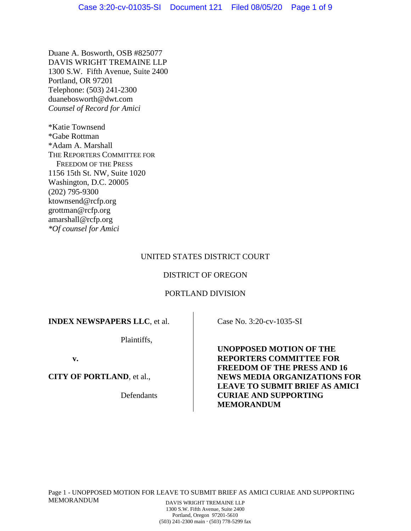Duane A. Bosworth, OSB #825077 DAVIS WRIGHT TREMAINE LLP 1300 S.W. Fifth Avenue, Suite 2400 Portland, OR 97201 Telephone: (503) 241-2300 duanebosworth@dwt.com *Counsel of Record for Amici* 

\*Katie Townsend \*Gabe Rottman \*Adam A. Marshall THE REPORTERS COMMITTEE FOR FREEDOM OF THE PRESS 1156 15th St. NW, Suite 1020 Washington, D.C. 20005 (202) 795-9300 ktownsend@rcfp.org grottman@rcfp.org amarshall@rcfp.org *\*Of counsel for Amici*

## UNITED STATES DISTRICT COURT

## DISTRICT OF OREGON

## PORTLAND DIVISION

# **INDEX NEWSPAPERS LLC**, et al.

Plaintiffs,

**v.** 

**CITY OF PORTLAND**, et al.,

Defendants

Case No. 3:20-cv-1035-SI

**UNOPPOSED MOTION OF THE REPORTERS COMMITTEE FOR FREEDOM OF THE PRESS AND 16 NEWS MEDIA ORGANIZATIONS FOR LEAVE TO SUBMIT BRIEF AS AMICI CURIAE AND SUPPORTING MEMORANDUM**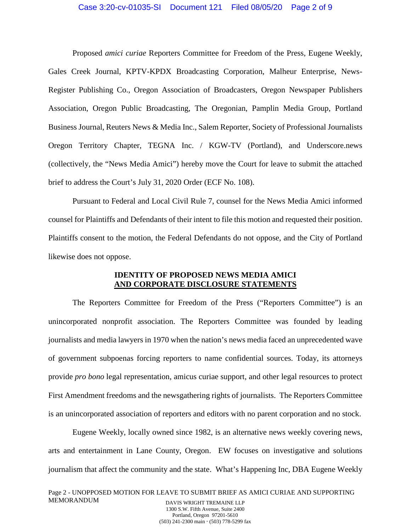Proposed *amici curiae* Reporters Committee for Freedom of the Press, Eugene Weekly, Gales Creek Journal, KPTV-KPDX Broadcasting Corporation, Malheur Enterprise, News-Register Publishing Co., Oregon Association of Broadcasters, Oregon Newspaper Publishers Association, Oregon Public Broadcasting, The Oregonian, Pamplin Media Group, Portland Business Journal, Reuters News & Media Inc., Salem Reporter, Society of Professional Journalists Oregon Territory Chapter, TEGNA Inc. / KGW-TV (Portland), and Underscore.news (collectively, the "News Media Amici") hereby move the Court for leave to submit the attached brief to address the Court's July 31, 2020 Order (ECF No. 108).

Pursuant to Federal and Local Civil Rule 7, counsel for the News Media Amici informed counsel for Plaintiffs and Defendants of their intent to file this motion and requested their position. Plaintiffs consent to the motion, the Federal Defendants do not oppose, and the City of Portland likewise does not oppose.

### **IDENTITY OF PROPOSED NEWS MEDIA AMICI AND CORPORATE DISCLOSURE STATEMENTS**

The Reporters Committee for Freedom of the Press ("Reporters Committee") is an unincorporated nonprofit association. The Reporters Committee was founded by leading journalists and media lawyers in 1970 when the nation's news media faced an unprecedented wave of government subpoenas forcing reporters to name confidential sources. Today, its attorneys provide *pro bono* legal representation, amicus curiae support, and other legal resources to protect First Amendment freedoms and the newsgathering rights of journalists. The Reporters Committee is an unincorporated association of reporters and editors with no parent corporation and no stock.

Eugene Weekly, locally owned since 1982, is an alternative news weekly covering news, arts and entertainment in Lane County, Oregon. EW focuses on investigative and solutions journalism that affect the community and the state. What's Happening Inc, DBA Eugene Weekly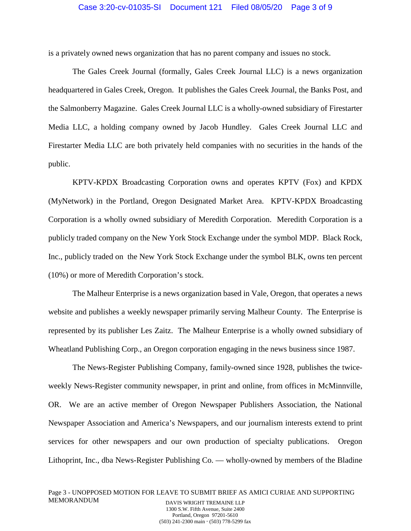is a privately owned news organization that has no parent company and issues no stock.

The Gales Creek Journal (formally, Gales Creek Journal LLC) is a news organization headquartered in Gales Creek, Oregon. It publishes the Gales Creek Journal, the Banks Post, and the Salmonberry Magazine. Gales Creek Journal LLC is a wholly-owned subsidiary of Firestarter Media LLC, a holding company owned by Jacob Hundley. Gales Creek Journal LLC and Firestarter Media LLC are both privately held companies with no securities in the hands of the public.

KPTV-KPDX Broadcasting Corporation owns and operates KPTV (Fox) and KPDX (MyNetwork) in the Portland, Oregon Designated Market Area. KPTV-KPDX Broadcasting Corporation is a wholly owned subsidiary of Meredith Corporation. Meredith Corporation is a publicly traded company on the New York Stock Exchange under the symbol MDP. Black Rock, Inc., publicly traded on the New York Stock Exchange under the symbol BLK, owns ten percent (10%) or more of Meredith Corporation's stock.

The Malheur Enterprise is a news organization based in Vale, Oregon, that operates a news website and publishes a weekly newspaper primarily serving Malheur County. The Enterprise is represented by its publisher Les Zaitz. The Malheur Enterprise is a wholly owned subsidiary of Wheatland Publishing Corp., an Oregon corporation engaging in the news business since 1987.

The News-Register Publishing Company, family-owned since 1928, publishes the twiceweekly News-Register community newspaper, in print and online, from offices in McMinnville, OR. We are an active member of Oregon Newspaper Publishers Association, the National Newspaper Association and America's Newspapers, and our journalism interests extend to print services for other newspapers and our own production of specialty publications. Oregon Lithoprint, Inc., dba News-Register Publishing Co. — wholly-owned by members of the Bladine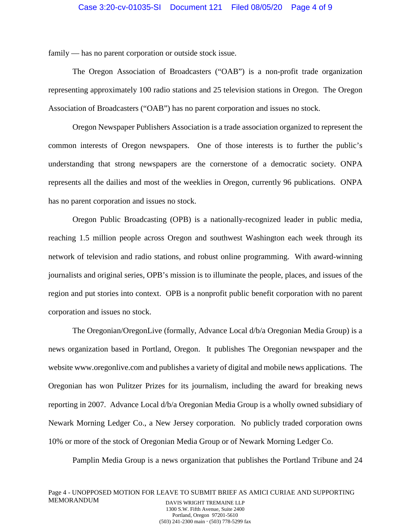family — has no parent corporation or outside stock issue.

The Oregon Association of Broadcasters ("OAB") is a non-profit trade organization representing approximately 100 radio stations and 25 television stations in Oregon. The Oregon Association of Broadcasters ("OAB") has no parent corporation and issues no stock.

Oregon Newspaper Publishers Association is a trade association organized to represent the common interests of Oregon newspapers. One of those interests is to further the public's understanding that strong newspapers are the cornerstone of a democratic society. ONPA represents all the dailies and most of the weeklies in Oregon, currently 96 publications. ONPA has no parent corporation and issues no stock.

Oregon Public Broadcasting (OPB) is a nationally-recognized leader in public media, reaching 1.5 million people across Oregon and southwest Washington each week through its network of television and radio stations, and robust online programming. With award-winning journalists and original series, OPB's mission is to illuminate the people, places, and issues of the region and put stories into context. OPB is a nonprofit public benefit corporation with no parent corporation and issues no stock.

The Oregonian/OregonLive (formally, Advance Local d/b/a Oregonian Media Group) is a news organization based in Portland, Oregon. It publishes The Oregonian newspaper and the website www.oregonlive.com and publishes a variety of digital and mobile news applications. The Oregonian has won Pulitzer Prizes for its journalism, including the award for breaking news reporting in 2007. Advance Local d/b/a Oregonian Media Group is a wholly owned subsidiary of Newark Morning Ledger Co., a New Jersey corporation. No publicly traded corporation owns 10% or more of the stock of Oregonian Media Group or of Newark Morning Ledger Co.

Pamplin Media Group is a news organization that publishes the Portland Tribune and 24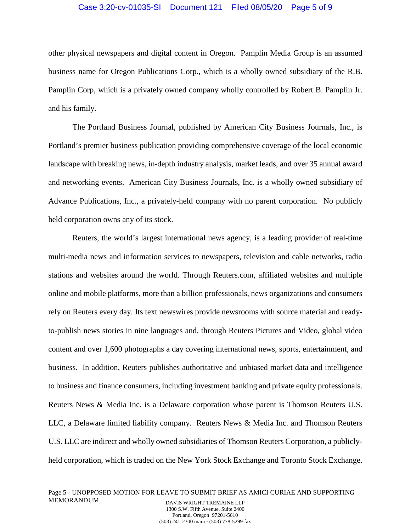### Case 3:20-cv-01035-SI Document 121 Filed 08/05/20 Page 5 of 9

other physical newspapers and digital content in Oregon. Pamplin Media Group is an assumed business name for Oregon Publications Corp., which is a wholly owned subsidiary of the R.B. Pamplin Corp, which is a privately owned company wholly controlled by Robert B. Pamplin Jr. and his family.

The Portland Business Journal, published by American City Business Journals, Inc., is Portland's premier business publication providing comprehensive coverage of the local economic landscape with breaking news, in-depth industry analysis, market leads, and over 35 annual award and networking events. American City Business Journals, Inc. is a wholly owned subsidiary of Advance Publications, Inc., a privately-held company with no parent corporation. No publicly held corporation owns any of its stock.

Reuters, the world's largest international news agency, is a leading provider of real-time multi-media news and information services to newspapers, television and cable networks, radio stations and websites around the world. Through Reuters.com, affiliated websites and multiple online and mobile platforms, more than a billion professionals, news organizations and consumers rely on Reuters every day. Its text newswires provide newsrooms with source material and readyto-publish news stories in nine languages and, through Reuters Pictures and Video, global video content and over 1,600 photographs a day covering international news, sports, entertainment, and business. In addition, Reuters publishes authoritative and unbiased market data and intelligence to business and finance consumers, including investment banking and private equity professionals. Reuters News & Media Inc. is a Delaware corporation whose parent is Thomson Reuters U.S. LLC, a Delaware limited liability company. Reuters News & Media Inc. and Thomson Reuters U.S. LLC are indirect and wholly owned subsidiaries of Thomson Reuters Corporation, a publiclyheld corporation, which is traded on the New York Stock Exchange and Toronto Stock Exchange.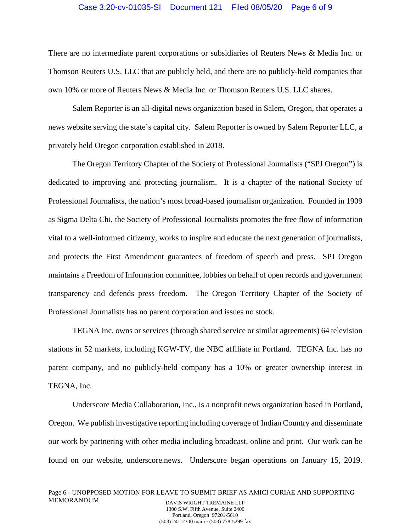### Case 3:20-cv-01035-SI Document 121 Filed 08/05/20 Page 6 of 9

There are no intermediate parent corporations or subsidiaries of Reuters News & Media Inc. or Thomson Reuters U.S. LLC that are publicly held, and there are no publicly-held companies that own 10% or more of Reuters News & Media Inc. or Thomson Reuters U.S. LLC shares.

Salem Reporter is an all-digital news organization based in Salem, Oregon, that operates a news website serving the state's capital city. Salem Reporter is owned by Salem Reporter LLC, a privately held Oregon corporation established in 2018.

The Oregon Territory Chapter of the Society of Professional Journalists ("SPJ Oregon") is dedicated to improving and protecting journalism. It is a chapter of the national Society of Professional Journalists, the nation's most broad-based journalism organization. Founded in 1909 as Sigma Delta Chi, the Society of Professional Journalists promotes the free flow of information vital to a well-informed citizenry, works to inspire and educate the next generation of journalists, and protects the First Amendment guarantees of freedom of speech and press. SPJ Oregon maintains a Freedom of Information committee, lobbies on behalf of open records and government transparency and defends press freedom. The Oregon Territory Chapter of the Society of Professional Journalists has no parent corporation and issues no stock.

TEGNA Inc. owns or services (through shared service or similar agreements) 64 television stations in 52 markets, including KGW-TV, the NBC affiliate in Portland. TEGNA Inc. has no parent company, and no publicly-held company has a 10% or greater ownership interest in TEGNA, Inc.

Underscore Media Collaboration, Inc., is a nonprofit news organization based in Portland, Oregon. We publish investigative reporting including coverage of Indian Country and disseminate our work by partnering with other media including broadcast, online and print. Our work can be found on our website, underscore.news. Underscore began operations on January 15, 2019.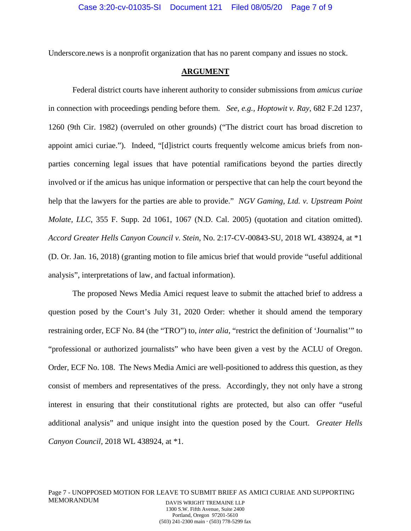Underscore.news is a nonprofit organization that has no parent company and issues no stock.

### **ARGUMENT**

 Federal district courts have inherent authority to consider submissions from *amicus curiae*  in connection with proceedings pending before them. *See, e.g., Hoptowit v. Ray*, 682 F.2d 1237, 1260 (9th Cir. 1982) (overruled on other grounds) ("The district court has broad discretion to appoint amici curiae."). Indeed, "[d]istrict courts frequently welcome amicus briefs from nonparties concerning legal issues that have potential ramifications beyond the parties directly involved or if the amicus has unique information or perspective that can help the court beyond the help that the lawyers for the parties are able to provide." *NGV Gaming, Ltd. v. Upstream Point Molate, LLC*, 355 F. Supp. 2d 1061, 1067 (N.D. Cal. 2005) (quotation and citation omitted). *Accord Greater Hells Canyon Council v. Stein*, No. 2:17-CV-00843-SU, 2018 WL 438924, at \*1 (D. Or. Jan. 16, 2018) (granting motion to file amicus brief that would provide "useful additional analysis", interpretations of law, and factual information).

The proposed News Media Amici request leave to submit the attached brief to address a question posed by the Court's July 31, 2020 Order: whether it should amend the temporary restraining order, ECF No. 84 (the "TRO") to, *inter alia*, "restrict the definition of 'Journalist'" to "professional or authorized journalists" who have been given a vest by the ACLU of Oregon. Order, ECF No. 108. The News Media Amici are well-positioned to address this question, as they consist of members and representatives of the press. Accordingly, they not only have a strong interest in ensuring that their constitutional rights are protected, but also can offer "useful additional analysis" and unique insight into the question posed by the Court. *Greater Hells Canyon Council*, 2018 WL 438924, at \*1.

Portland, Oregon 97201-5610 (503) 241-2300 main (503) 778-5299 fax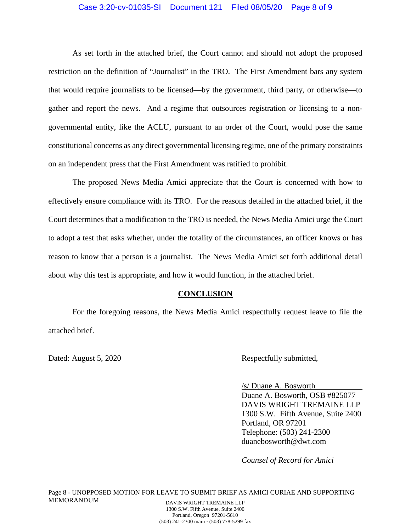### Case 3:20-cv-01035-SI Document 121 Filed 08/05/20 Page 8 of 9

As set forth in the attached brief, the Court cannot and should not adopt the proposed restriction on the definition of "Journalist" in the TRO. The First Amendment bars any system that would require journalists to be licensed—by the government, third party, or otherwise—to gather and report the news. And a regime that outsources registration or licensing to a nongovernmental entity, like the ACLU, pursuant to an order of the Court, would pose the same constitutional concerns as any direct governmental licensing regime, one of the primary constraints on an independent press that the First Amendment was ratified to prohibit.

The proposed News Media Amici appreciate that the Court is concerned with how to effectively ensure compliance with its TRO. For the reasons detailed in the attached brief, if the Court determines that a modification to the TRO is needed, the News Media Amici urge the Court to adopt a test that asks whether, under the totality of the circumstances, an officer knows or has reason to know that a person is a journalist. The News Media Amici set forth additional detail about why this test is appropriate, and how it would function, in the attached brief.

### **CONCLUSION**

For the foregoing reasons, the News Media Amici respectfully request leave to file the attached brief.

Dated: August 5, 2020 Respectfully submitted,

/s/ Duane A. Bosworth Duane A. Bosworth, OSB #825077 DAVIS WRIGHT TREMAINE LLP 1300 S.W. Fifth Avenue, Suite 2400 Portland, OR 97201 Telephone: (503) 241-2300 duanebosworth@dwt.com

*Counsel of Record for Amici*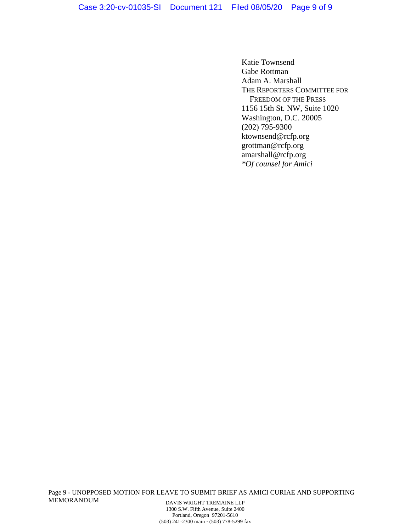Katie Townsend Gabe Rottman Adam A. Marshall THE REPORTERS COMMITTEE FOR FREEDOM OF THE PRESS 1156 15th St. NW, Suite 1020 Washington, D.C. 20005 (202) 795-9300 ktownsend@rcfp.org grottman@rcfp.org amarshall@rcfp.org *\*Of counsel for Amici*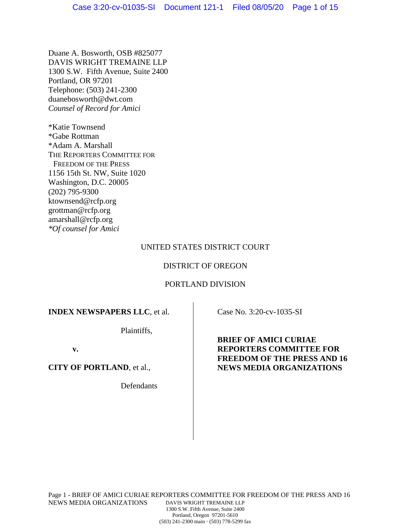Duane A. Bosworth, OSB #825077 DAVIS WRIGHT TREMAINE LLP 1300 S.W. Fifth Avenue, Suite 2400 Portland, OR 97201 Telephone: (503) 241-2300 duanebosworth@dwt.com *Counsel of Record for Amici* 

\*Katie Townsend \*Gabe Rottman \*Adam A. Marshall THE REPORTERS COMMITTEE FOR FREEDOM OF THE PRESS 1156 15th St. NW, Suite 1020 Washington, D.C. 20005 (202) 795-9300 ktownsend@rcfp.org grottman@rcfp.org amarshall@rcfp.org *\*Of counsel for Amici* 

## UNITED STATES DISTRICT COURT

## DISTRICT OF OREGON

## PORTLAND DIVISION

## **INDEX NEWSPAPERS LLC**, et al.

Plaintiffs,

**v.** 

**CITY OF PORTLAND**, et al.,

Defendants

Case No. 3:20-cv-1035-SI

**BRIEF OF AMICI CURIAE REPORTERS COMMITTEE FOR FREEDOM OF THE PRESS AND 16 NEWS MEDIA ORGANIZATIONS**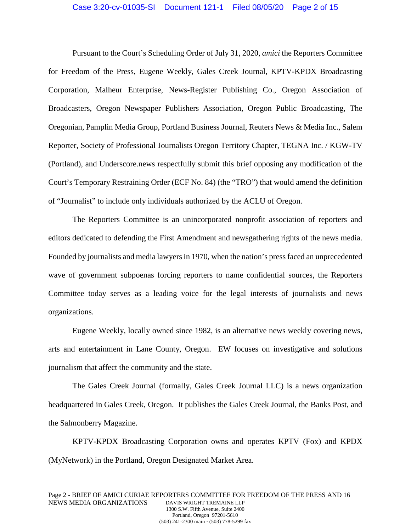#### Case 3:20-cv-01035-SI Document 121-1 Filed 08/05/20 Page 2 of 15

Pursuant to the Court's Scheduling Order of July 31, 2020, *amici* the Reporters Committee for Freedom of the Press, Eugene Weekly, Gales Creek Journal, KPTV-KPDX Broadcasting Corporation, Malheur Enterprise, News-Register Publishing Co., Oregon Association of Broadcasters, Oregon Newspaper Publishers Association, Oregon Public Broadcasting, The Oregonian, Pamplin Media Group, Portland Business Journal, Reuters News & Media Inc., Salem Reporter, Society of Professional Journalists Oregon Territory Chapter, TEGNA Inc. / KGW-TV (Portland), and Underscore.news respectfully submit this brief opposing any modification of the Court's Temporary Restraining Order (ECF No. 84) (the "TRO") that would amend the definition of "Journalist" to include only individuals authorized by the ACLU of Oregon.

The Reporters Committee is an unincorporated nonprofit association of reporters and editors dedicated to defending the First Amendment and newsgathering rights of the news media. Founded by journalists and media lawyers in 1970, when the nation's press faced an unprecedented wave of government subpoenas forcing reporters to name confidential sources, the Reporters Committee today serves as a leading voice for the legal interests of journalists and news organizations.

Eugene Weekly, locally owned since 1982, is an alternative news weekly covering news, arts and entertainment in Lane County, Oregon. EW focuses on investigative and solutions journalism that affect the community and the state.

The Gales Creek Journal (formally, Gales Creek Journal LLC) is a news organization headquartered in Gales Creek, Oregon. It publishes the Gales Creek Journal, the Banks Post, and the Salmonberry Magazine.

KPTV-KPDX Broadcasting Corporation owns and operates KPTV (Fox) and KPDX (MyNetwork) in the Portland, Oregon Designated Market Area.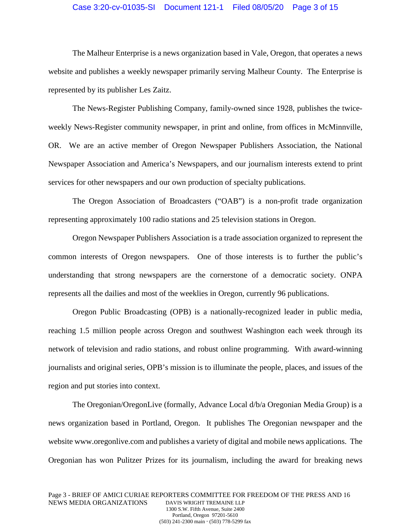### Case 3:20-cv-01035-SI Document 121-1 Filed 08/05/20 Page 3 of 15

The Malheur Enterprise is a news organization based in Vale, Oregon, that operates a news website and publishes a weekly newspaper primarily serving Malheur County. The Enterprise is represented by its publisher Les Zaitz.

The News-Register Publishing Company, family-owned since 1928, publishes the twiceweekly News-Register community newspaper, in print and online, from offices in McMinnville, OR. We are an active member of Oregon Newspaper Publishers Association, the National Newspaper Association and America's Newspapers, and our journalism interests extend to print services for other newspapers and our own production of specialty publications.

The Oregon Association of Broadcasters ("OAB") is a non-profit trade organization representing approximately 100 radio stations and 25 television stations in Oregon.

Oregon Newspaper Publishers Association is a trade association organized to represent the common interests of Oregon newspapers. One of those interests is to further the public's understanding that strong newspapers are the cornerstone of a democratic society. ONPA represents all the dailies and most of the weeklies in Oregon, currently 96 publications.

Oregon Public Broadcasting (OPB) is a nationally-recognized leader in public media, reaching 1.5 million people across Oregon and southwest Washington each week through its network of television and radio stations, and robust online programming. With award-winning journalists and original series, OPB's mission is to illuminate the people, places, and issues of the region and put stories into context.

The Oregonian/OregonLive (formally, Advance Local d/b/a Oregonian Media Group) is a news organization based in Portland, Oregon. It publishes The Oregonian newspaper and the website www.oregonlive.com and publishes a variety of digital and mobile news applications. The Oregonian has won Pulitzer Prizes for its journalism, including the award for breaking news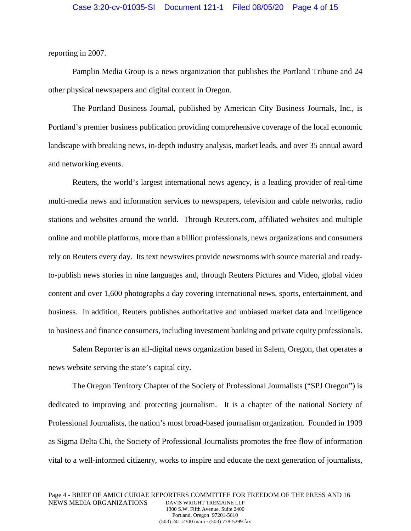reporting in 2007.

Pamplin Media Group is a news organization that publishes the Portland Tribune and 24 other physical newspapers and digital content in Oregon.

The Portland Business Journal, published by American City Business Journals, Inc., is Portland's premier business publication providing comprehensive coverage of the local economic landscape with breaking news, in-depth industry analysis, market leads, and over 35 annual award and networking events.

Reuters, the world's largest international news agency, is a leading provider of real-time multi-media news and information services to newspapers, television and cable networks, radio stations and websites around the world. Through Reuters.com, affiliated websites and multiple online and mobile platforms, more than a billion professionals, news organizations and consumers rely on Reuters every day. Its text newswires provide newsrooms with source material and readyto-publish news stories in nine languages and, through Reuters Pictures and Video, global video content and over 1,600 photographs a day covering international news, sports, entertainment, and business. In addition, Reuters publishes authoritative and unbiased market data and intelligence to business and finance consumers, including investment banking and private equity professionals.

Salem Reporter is an all-digital news organization based in Salem, Oregon, that operates a news website serving the state's capital city.

The Oregon Territory Chapter of the Society of Professional Journalists ("SPJ Oregon") is dedicated to improving and protecting journalism. It is a chapter of the national Society of Professional Journalists, the nation's most broad-based journalism organization. Founded in 1909 as Sigma Delta Chi, the Society of Professional Journalists promotes the free flow of information vital to a well-informed citizenry, works to inspire and educate the next generation of journalists,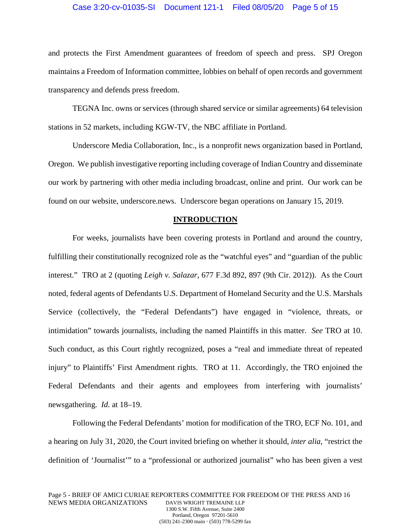### Case 3:20-cv-01035-SI Document 121-1 Filed 08/05/20 Page 5 of 15

and protects the First Amendment guarantees of freedom of speech and press. SPJ Oregon maintains a Freedom of Information committee, lobbies on behalf of open records and government transparency and defends press freedom.

TEGNA Inc. owns or services (through shared service or similar agreements) 64 television stations in 52 markets, including KGW-TV, the NBC affiliate in Portland.

Underscore Media Collaboration, Inc., is a nonprofit news organization based in Portland, Oregon. We publish investigative reporting including coverage of Indian Country and disseminate our work by partnering with other media including broadcast, online and print. Our work can be found on our website, underscore.news. Underscore began operations on January 15, 2019.

### **INTRODUCTION**

For weeks, journalists have been covering protests in Portland and around the country, fulfilling their constitutionally recognized role as the "watchful eyes" and "guardian of the public interest." TRO at 2 (quoting *Leigh v. Salazar*, 677 F.3d 892, 897 (9th Cir. 2012)). As the Court noted, federal agents of Defendants U.S. Department of Homeland Security and the U.S. Marshals Service (collectively, the "Federal Defendants") have engaged in "violence, threats, or intimidation" towards journalists, including the named Plaintiffs in this matter. *See* TRO at 10. Such conduct, as this Court rightly recognized, poses a "real and immediate threat of repeated injury" to Plaintiffs' First Amendment rights. TRO at 11. Accordingly, the TRO enjoined the Federal Defendants and their agents and employees from interfering with journalists' newsgathering. *Id.* at 18–19.

Following the Federal Defendants' motion for modification of the TRO, ECF No. 101, and a hearing on July 31, 2020, the Court invited briefing on whether it should, *inter alia*, "restrict the definition of 'Journalist'" to a "professional or authorized journalist" who has been given a vest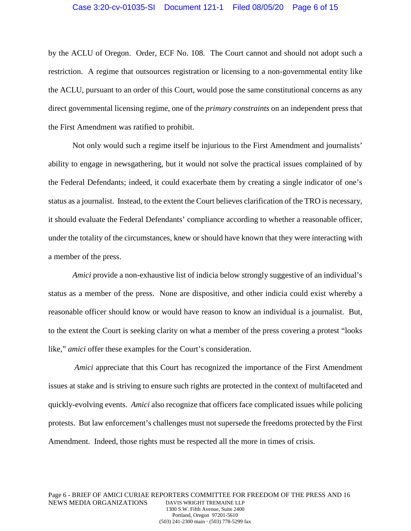by the ACLU of Oregon. Order, ECF No. 108. The Court cannot and should not adopt such a restriction. A regime that outsources registration or licensing to a non-governmental entity like the ACLU, pursuant to an order of this Court, would pose the same constitutional concerns as any direct governmental licensing regime, one of the *primary constraints* on an independent press that the First Amendment was ratified to prohibit.

Not only would such a regime itself be injurious to the First Amendment and journalists' ability to engage in newsgathering, but it would not solve the practical issues complained of by the Federal Defendants; indeed, it could exacerbate them by creating a single indicator of one's status as a journalist. Instead, to the extent the Court believes clarification of the TRO is necessary, it should evaluate the Federal Defendants' compliance according to whether a reasonable officer, under the totality of the circumstances, knew or should have known that they were interacting with a member of the press.

*Amici* provide a non-exhaustive list of indicia below strongly suggestive of an individual's status as a member of the press. None are dispositive, and other indicia could exist whereby a reasonable officer should know or would have reason to know an individual is a journalist. But, to the extent the Court is seeking clarity on what a member of the press covering a protest "looks like," *amici* offer these examples for the Court's consideration.

*Amici* appreciate that this Court has recognized the importance of the First Amendment issues at stake and is striving to ensure such rights are protected in the context of multifaceted and quickly-evolving events. *Amici* also recognize that officers face complicated issues while policing protests. But law enforcement's challenges must not supersede the freedoms protected by the First Amendment. Indeed, those rights must be respected all the more in times of crisis.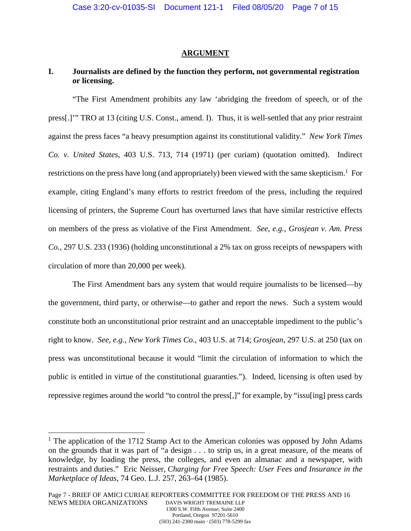### **ARGUMENT**

## **I. Journalists are defined by the function they perform, not governmental registration or licensing.**

"The First Amendment prohibits any law 'abridging the freedom of speech, or of the press[.]'" TRO at 13 (citing U.S. Const., amend. I). Thus, it is well-settled that any prior restraint against the press faces "a heavy presumption against its constitutional validity." *New York Times Co. v. United States*, 403 U.S. 713, 714 (1971) (per curiam) (quotation omitted). Indirect restrictions on the press have long (and appropriately) been viewed with the same skepticism.<sup>1</sup> For example, citing England's many efforts to restrict freedom of the press, including the required licensing of printers, the Supreme Court has overturned laws that have similar restrictive effects on members of the press as violative of the First Amendment. *See, e.g.*, *Grosjean v. Am. Press Co.*, 297 U.S. 233 (1936) (holding unconstitutional a 2% tax on gross receipts of newspapers with circulation of more than 20,000 per week).

The First Amendment bars any system that would require journalists to be licensed—by the government, third party, or otherwise—to gather and report the news. Such a system would constitute both an unconstitutional prior restraint and an unacceptable impediment to the public's right to know. *See*, *e.g.*, *New York Times Co.*, 403 U.S. at 714; *Grosjean*, 297 U.S. at 250 (tax on press was unconstitutional because it would "limit the circulation of information to which the public is entitled in virtue of the constitutional guaranties."). Indeed, licensing is often used by repressive regimes around the world "to control the press[,]" for example, by "issu[ing] press cards

 $\overline{a}$ 

<sup>&</sup>lt;sup>1</sup> The application of the 1712 Stamp Act to the American colonies was opposed by John Adams on the grounds that it was part of "a design . . . to strip us, in a great measure, of the means of knowledge, by loading the press, the colleges, and even an almanac and a newspaper, with restraints and duties." Eric Neisser, *Charging for Free Speech: User Fees and Insurance in the Marketplace of Ideas*, 74 Geo. L.J. 257, 263–64 (1985).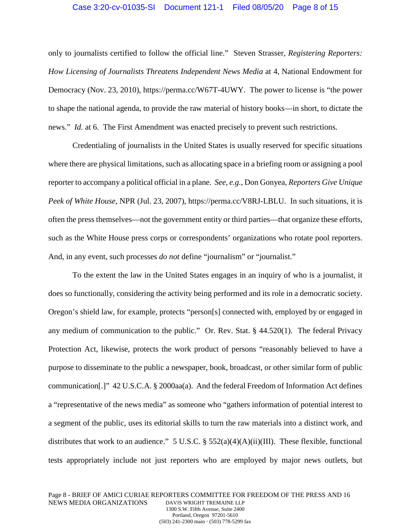### Case 3:20-cv-01035-SI Document 121-1 Filed 08/05/20 Page 8 of 15

only to journalists certified to follow the official line." Steven Strasser, *Registering Reporters: How Licensing of Journalists Threatens Independent News Media* at 4, National Endowment for Democracy (Nov. 23, 2010), https://perma.cc/W67T-4UWY. The power to license is "the power to shape the national agenda, to provide the raw material of history books—in short, to dictate the news." *Id.* at 6. The First Amendment was enacted precisely to prevent such restrictions.

Credentialing of journalists in the United States is usually reserved for specific situations where there are physical limitations, such as allocating space in a briefing room or assigning a pool reporter to accompany a political official in a plane. *See, e.g.*, Don Gonyea, *Reporters Give Unique Peek of White House*, NPR (Jul. 23, 2007), https://perma.cc/V8RJ-LBLU. In such situations, it is often the press themselves—not the government entity or third parties—that organize these efforts, such as the White House press corps or correspondents' organizations who rotate pool reporters. And, in any event, such processes *do not* define "journalism" or "journalist."

To the extent the law in the United States engages in an inquiry of who is a journalist, it does so functionally, considering the activity being performed and its role in a democratic society. Oregon's shield law, for example, protects "person[s] connected with, employed by or engaged in any medium of communication to the public." Or. Rev. Stat. § 44.520(1). The federal Privacy Protection Act, likewise, protects the work product of persons "reasonably believed to have a purpose to disseminate to the public a newspaper, book, broadcast, or other similar form of public communication[.]" 42 U.S.C.A. § 2000aa(a). And the federal Freedom of Information Act defines a "representative of the news media" as someone who "gathers information of potential interest to a segment of the public, uses its editorial skills to turn the raw materials into a distinct work, and distributes that work to an audience." 5 U.S.C. §  $552(a)(4)(A)(ii)(III)$ . These flexible, functional tests appropriately include not just reporters who are employed by major news outlets, but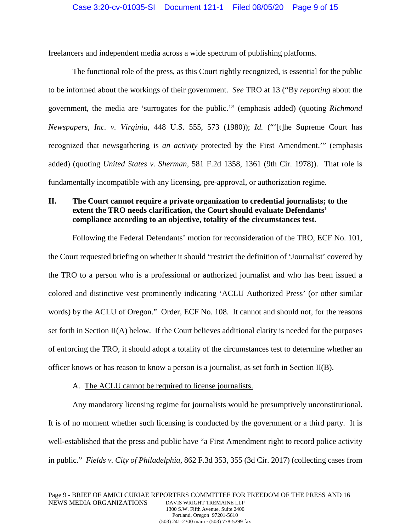freelancers and independent media across a wide spectrum of publishing platforms.

The functional role of the press, as this Court rightly recognized, is essential for the public to be informed about the workings of their government. *See* TRO at 13 ("By *reporting* about the government, the media are 'surrogates for the public.'" (emphasis added) (quoting *Richmond Newspapers, Inc. v. Virginia*, 448 U.S. 555, 573 (1980)); *Id.* ("'[t]he Supreme Court has recognized that newsgathering is *an activity* protected by the First Amendment.'" (emphasis added) (quoting *United States v. Sherman,* 581 F.2d 1358, 1361 (9th Cir. 1978)). That role is fundamentally incompatible with any licensing, pre-approval, or authorization regime.

## **II. The Court cannot require a private organization to credential journalists; to the extent the TRO needs clarification, the Court should evaluate Defendants' compliance according to an objective, totality of the circumstances test.**

Following the Federal Defendants' motion for reconsideration of the TRO, ECF No. 101, the Court requested briefing on whether it should "restrict the definition of 'Journalist' covered by the TRO to a person who is a professional or authorized journalist and who has been issued a colored and distinctive vest prominently indicating 'ACLU Authorized Press' (or other similar words) by the ACLU of Oregon." Order, ECF No. 108. It cannot and should not, for the reasons set forth in Section II(A) below. If the Court believes additional clarity is needed for the purposes of enforcing the TRO, it should adopt a totality of the circumstances test to determine whether an officer knows or has reason to know a person is a journalist, as set forth in Section  $II(B)$ .

### A. The ACLU cannot be required to license journalists.

Any mandatory licensing regime for journalists would be presumptively unconstitutional. It is of no moment whether such licensing is conducted by the government or a third party. It is well-established that the press and public have "a First Amendment right to record police activity in public." *Fields v. City of Philadelphia*, 862 F.3d 353, 355 (3d Cir. 2017) (collecting cases from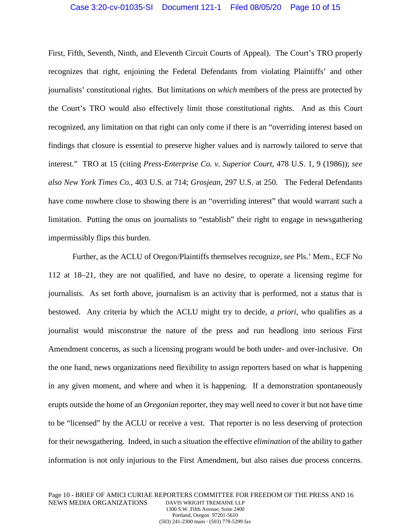### Case 3:20-cv-01035-SI Document 121-1 Filed 08/05/20 Page 10 of 15

First, Fifth, Seventh, Ninth, and Eleventh Circuit Courts of Appeal). The Court's TRO properly recognizes that right, enjoining the Federal Defendants from violating Plaintiffs' and other journalists' constitutional rights. But limitations on *which* members of the press are protected by the Court's TRO would also effectively limit those constitutional rights. And as this Court recognized, any limitation on that right can only come if there is an "overriding interest based on findings that closure is essential to preserve higher values and is narrowly tailored to serve that interest." TRO at 15 (citing *Press-Enterprise Co. v. Superior Court*, 478 U.S. 1, 9 (1986)); *see also New York Times Co.*, 403 U.S. at 714; *Grosjean*, 297 U.S. at 250. The Federal Defendants have come nowhere close to showing there is an "overriding interest" that would warrant such a limitation. Putting the onus on journalists to "establish" their right to engage in newsgathering impermissibly flips this burden.

Further, as the ACLU of Oregon/Plaintiffs themselves recognize, *see* Pls.' Mem., ECF No 112 at 18–21, they are not qualified, and have no desire, to operate a licensing regime for journalists. As set forth above, journalism is an activity that is performed, not a status that is bestowed. Any criteria by which the ACLU might try to decide, *a priori*, who qualifies as a journalist would misconstrue the nature of the press and run headlong into serious First Amendment concerns, as such a licensing program would be both under- and over-inclusive. On the one hand, news organizations need flexibility to assign reporters based on what is happening in any given moment, and where and when it is happening. If a demonstration spontaneously erupts outside the home of an *Oregonian* reporter, they may well need to cover it but not have time to be "licensed" by the ACLU or receive a vest. That reporter is no less deserving of protection for their newsgathering. Indeed, in such a situation the effective *elimination* of the ability to gather information is not only injurious to the First Amendment, but also raises due process concerns.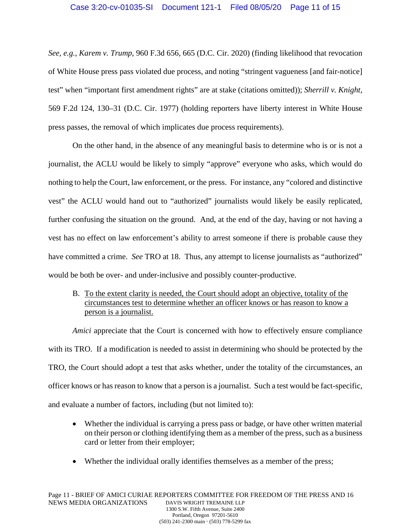*See, e.g.*, *Karem v. Trump*, 960 F.3d 656, 665 (D.C. Cir. 2020) (finding likelihood that revocation of White House press pass violated due process, and noting "stringent vagueness [and fair-notice] test" when "important first amendment rights" are at stake (citations omitted)); *Sherrill v. Knight*, 569 F.2d 124, 130–31 (D.C. Cir. 1977) (holding reporters have liberty interest in White House press passes, the removal of which implicates due process requirements).

On the other hand, in the absence of any meaningful basis to determine who is or is not a journalist, the ACLU would be likely to simply "approve" everyone who asks, which would do nothing to help the Court, law enforcement, or the press. For instance, any "colored and distinctive vest" the ACLU would hand out to "authorized" journalists would likely be easily replicated, further confusing the situation on the ground. And, at the end of the day, having or not having a vest has no effect on law enforcement's ability to arrest someone if there is probable cause they have committed a crime. *See* TRO at 18. Thus, any attempt to license journalists as "authorized" would be both be over- and under-inclusive and possibly counter-productive.

B. To the extent clarity is needed, the Court should adopt an objective, totality of the circumstances test to determine whether an officer knows or has reason to know a person is a journalist.

*Amici* appreciate that the Court is concerned with how to effectively ensure compliance with its TRO. If a modification is needed to assist in determining who should be protected by the TRO, the Court should adopt a test that asks whether, under the totality of the circumstances, an officer knows or has reason to know that a person is a journalist. Such a test would be fact-specific, and evaluate a number of factors, including (but not limited to):

- Whether the individual is carrying a press pass or badge, or have other written material on their person or clothing identifying them as a member of the press, such as a business card or letter from their employer;
- Whether the individual orally identifies themselves as a member of the press;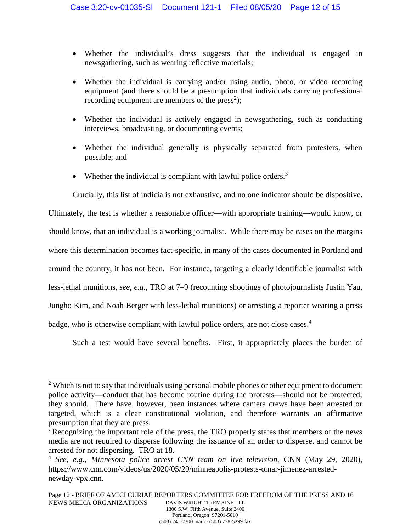- Whether the individual's dress suggests that the individual is engaged in newsgathering, such as wearing reflective materials;
- Whether the individual is carrying and/or using audio, photo, or video recording equipment (and there should be a presumption that individuals carrying professional recording equipment are members of the press<sup>2</sup>);
- Whether the individual is actively engaged in newsgathering, such as conducting interviews, broadcasting, or documenting events;
- Whether the individual generally is physically separated from protesters, when possible; and
- Whether the individual is compliant with lawful police orders.<sup>3</sup>

Crucially, this list of indicia is not exhaustive, and no one indicator should be dispositive.

Ultimately, the test is whether a reasonable officer—with appropriate training—would know, or should know, that an individual is a working journalist. While there may be cases on the margins where this determination becomes fact-specific, in many of the cases documented in Portland and around the country, it has not been. For instance, targeting a clearly identifiable journalist with less-lethal munitions, *see, e.g.*, TRO at 7–9 (recounting shootings of photojournalists Justin Yau, Jungho Kim, and Noah Berger with less-lethal munitions) or arresting a reporter wearing a press badge, who is otherwise compliant with lawful police orders, are not close cases.<sup>4</sup>

Such a test would have several benefits. First, it appropriately places the burden of

 $\overline{a}$ 

 $2$  Which is not to say that individuals using personal mobile phones or other equipment to document police activity—conduct that has become routine during the protests—should not be protected; they should. There have, however, been instances where camera crews have been arrested or targeted, which is a clear constitutional violation, and therefore warrants an affirmative presumption that they are press.

<sup>&</sup>lt;sup>3</sup> Recognizing the important role of the press, the TRO properly states that members of the news media are not required to disperse following the issuance of an order to disperse, and cannot be arrested for not dispersing. TRO at 18.

<sup>4</sup> *See, e.g.*, *Minnesota police arrest CNN team on live television*, CNN (May 29, 2020), https://www.cnn.com/videos/us/2020/05/29/minneapolis-protests-omar-jimenez-arrestednewday-vpx.cnn.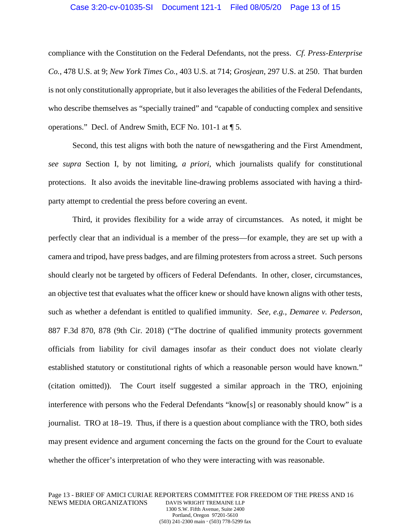### Case 3:20-cv-01035-SI Document 121-1 Filed 08/05/20 Page 13 of 15

compliance with the Constitution on the Federal Defendants, not the press. *Cf. Press-Enterprise Co.*, 478 U.S. at 9; *New York Times Co.*, 403 U.S. at 714; *Grosjean*, 297 U.S. at 250. That burden is not only constitutionally appropriate, but it also leverages the abilities of the Federal Defendants, who describe themselves as "specially trained" and "capable of conducting complex and sensitive operations." Decl. of Andrew Smith, ECF No. 101-1 at ¶ 5.

Second, this test aligns with both the nature of newsgathering and the First Amendment, *see supra* Section I, by not limiting, *a priori*, which journalists qualify for constitutional protections. It also avoids the inevitable line-drawing problems associated with having a thirdparty attempt to credential the press before covering an event.

Third, it provides flexibility for a wide array of circumstances. As noted, it might be perfectly clear that an individual is a member of the press—for example, they are set up with a camera and tripod, have press badges, and are filming protesters from across a street. Such persons should clearly not be targeted by officers of Federal Defendants. In other, closer, circumstances, an objective test that evaluates what the officer knew or should have known aligns with other tests, such as whether a defendant is entitled to qualified immunity. *See, e.g.*, *Demaree v. Pederson*, 887 F.3d 870, 878 (9th Cir. 2018) ("The doctrine of qualified immunity protects government officials from liability for civil damages insofar as their conduct does not violate clearly established statutory or constitutional rights of which a reasonable person would have known." (citation omitted)). The Court itself suggested a similar approach in the TRO, enjoining interference with persons who the Federal Defendants "know[s] or reasonably should know" is a journalist. TRO at 18–19. Thus, if there is a question about compliance with the TRO, both sides may present evidence and argument concerning the facts on the ground for the Court to evaluate whether the officer's interpretation of who they were interacting with was reasonable.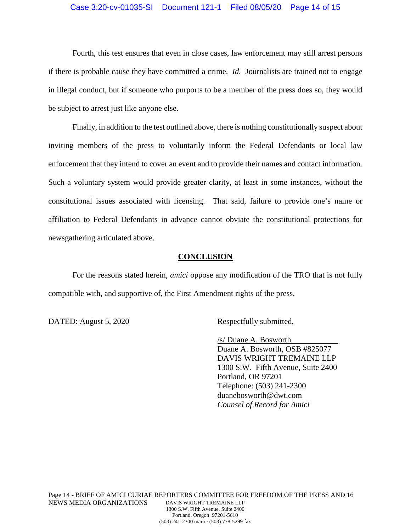#### Case 3:20-cv-01035-SI Document 121-1 Filed 08/05/20 Page 14 of 15

Fourth, this test ensures that even in close cases, law enforcement may still arrest persons if there is probable cause they have committed a crime. *Id.* Journalists are trained not to engage in illegal conduct, but if someone who purports to be a member of the press does so, they would be subject to arrest just like anyone else.

Finally, in addition to the test outlined above, there is nothing constitutionally suspect about inviting members of the press to voluntarily inform the Federal Defendants or local law enforcement that they intend to cover an event and to provide their names and contact information. Such a voluntary system would provide greater clarity, at least in some instances, without the constitutional issues associated with licensing. That said, failure to provide one's name or affiliation to Federal Defendants in advance cannot obviate the constitutional protections for newsgathering articulated above.

#### **CONCLUSION**

For the reasons stated herein, *amici* oppose any modification of the TRO that is not fully compatible with, and supportive of, the First Amendment rights of the press.

DATED: August 5, 2020 Respectfully submitted,

/s/ Duane A. Bosworth Duane A. Bosworth, OSB #825077 DAVIS WRIGHT TREMAINE LLP 1300 S.W. Fifth Avenue, Suite 2400 Portland, OR 97201 Telephone: (503) 241-2300 duanebosworth@dwt.com *Counsel of Record for Amici* 

(503) 241-2300 main (503) 778-5299 fax